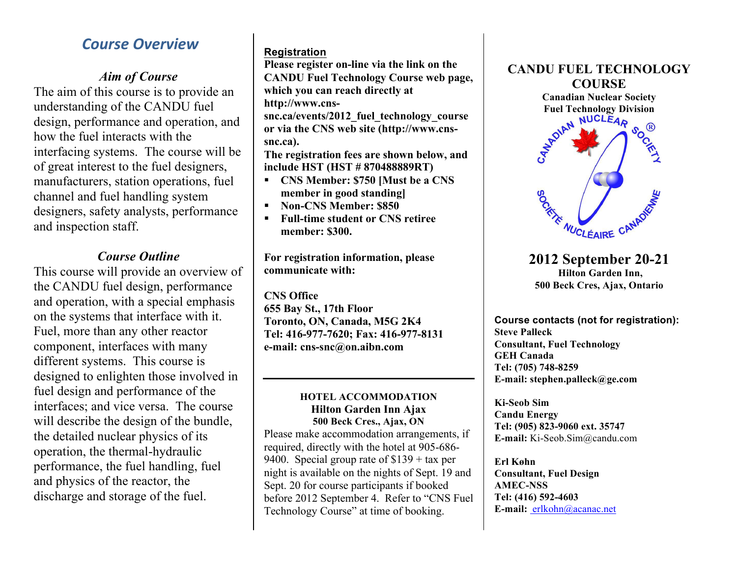# *Course Overview*

### *Aim of Course*

The aim of this course is to provide an understanding of the CANDU fuel design, performance and operation, and how the fuel interacts with the interfacing systems. The course will be of great interest to the fuel designers, manufacturers, station operations, fuel channel and fuel handling system designers, safety analysts, performance and inspection staff.

## *Course Outline*

This course will provide an overview of the CANDU fuel design, performance and operation, with a special emphasis on the systems that interface with it. Fuel, more than any other reactor component, interfaces with many different systems. This course is designed to enlighten those involved in fuel design and performance of the interfaces; and vice versa. The course will describe the design of the bundle, the detailed nuclear physics of its operation, the thermal-hydraulic performance, the fuel handling, fuel and physics of the reactor, the discharge and storage of the fuel.

#### **Registration**

**Please register on-line via the link on the CANDU Fuel Technology Course web page, which you can reach directly at http://www.cns-**

**snc.ca/events/2012\_fuel\_technology\_course or via the CNS web site (http://www.cnssnc.ca).** 

**The registration fees are shown below, and include HST (HST # 870488889RT)** 

- § **CNS Member: \$750 [Must be a CNS member in good standing]**
- § **Non-CNS Member: \$850**
- § **Full-time student or CNS retiree member: \$300.**

**For registration information, please communicate with:** 

**CNS Office 655 Bay St., 17th Floor Toronto, ON, Canada, M5G 2K4 Tel: 416-977-7620; Fax: 416-977-8131 e-mail: cns-snc@on.aibn.com** 

#### **HOTEL ACCOMMODATION Hilton Garden Inn Ajax 500 Beck Cres., Ajax, ON**

Please make accommodation arrangements, if required, directly with the hotel at 905-686- 9400. Special group rate of \$139 + tax per night is available on the nights of Sept. 19 and Sept. 20 for course participants if booked before 2012 September 4. Refer to "CNS Fuel Technology Course" at time of booking.



**2012 September 20-21 Hilton Garden Inn, 500 Beck Cres, Ajax, Ontario**

**SOUTHE MUCLÉAIRE CANADIES** 

**Course contacts (not for registration): Steve Palleck Consultant, Fuel Technology GEH Canada Tel: (705) 748-8259 E-mail: stephen.palleck@ge.com**

**Ki-Seob Sim Candu Energy Tel: (905) 823-9060 ext. 35747 E-mail:** Ki-Seob.Sim@candu.com

**Erl Køhn Consultant, Fuel Design AMEC-NSS Tel: (416) 592-4603 E-mail:** erlkohn@acanac.net